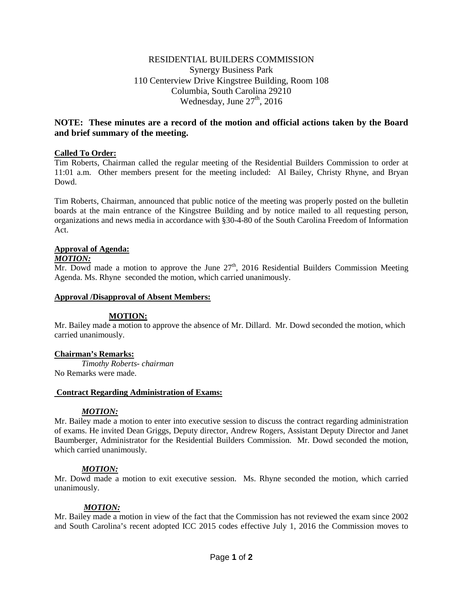## RESIDENTIAL BUILDERS COMMISSION Synergy Business Park 110 Centerview Drive Kingstree Building, Room 108 Columbia, South Carolina 29210 Wednesday, June  $27<sup>th</sup>$ , 2016

# **NOTE: These minutes are a record of the motion and official actions taken by the Board and brief summary of the meeting.**

### **Called To Order:**

Tim Roberts, Chairman called the regular meeting of the Residential Builders Commission to order at 11:01 a.m. Other members present for the meeting included: Al Bailey, Christy Rhyne, and Bryan Dowd.

Tim Roberts, Chairman, announced that public notice of the meeting was properly posted on the bulletin boards at the main entrance of the Kingstree Building and by notice mailed to all requesting person, organizations and news media in accordance with §30-4-80 of the South Carolina Freedom of Information Act.

### **Approval of Agenda:**

#### *MOTION:*

Mr. Dowd made a motion to approve the June  $27<sup>th</sup>$ , 2016 Residential Builders Commission Meeting Agenda. Ms. Rhyne seconded the motion, which carried unanimously.

#### **Approval /Disapproval of Absent Members:**

#### **MOTION:**

Mr. Bailey made a motion to approve the absence of Mr. Dillard. Mr. Dowd seconded the motion, which carried unanimously.

#### **Chairman's Remarks:**

*Timothy Roberts- chairman* No Remarks were made.

#### **Contract Regarding Administration of Exams:**

#### *MOTION:*

Mr. Bailey made a motion to enter into executive session to discuss the contract regarding administration of exams. He invited Dean Griggs, Deputy director, Andrew Rogers, Assistant Deputy Director and Janet Baumberger, Administrator for the Residential Builders Commission. Mr. Dowd seconded the motion, which carried unanimously.

#### *MOTION:*

Mr. Dowd made a motion to exit executive session. Ms. Rhyne seconded the motion, which carried unanimously.

#### *MOTION:*

Mr. Bailey made a motion in view of the fact that the Commission has not reviewed the exam since 2002 and South Carolina's recent adopted ICC 2015 codes effective July 1, 2016 the Commission moves to